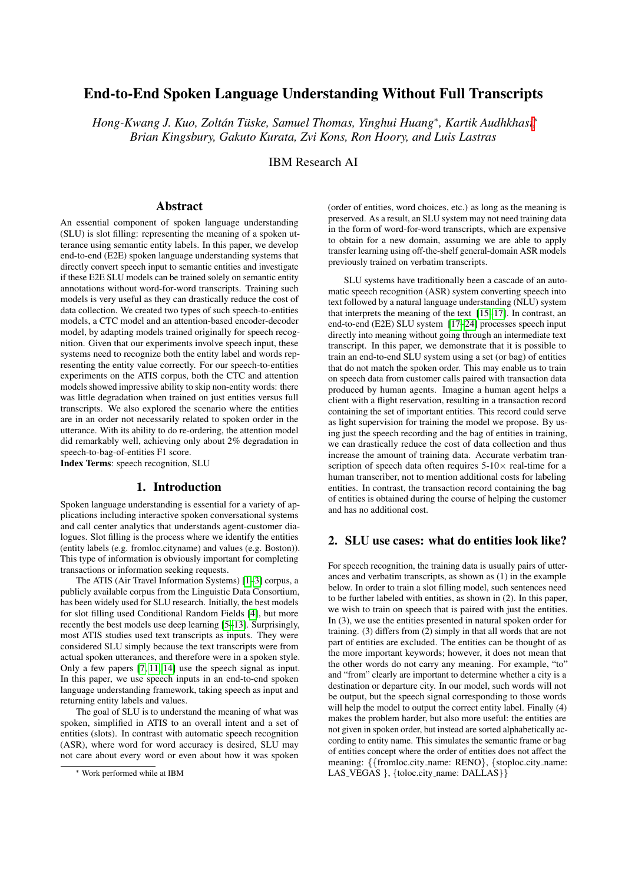# End-to-End Spoken Language Understanding Without Full Transcripts

*Hong-Kwang J. Kuo, Zoltán Tüske, Samuel Thomas, Yinghui Huang<sup>\*</sup>, Kartik Audhkhasi<sup>\*</sup>, Brian Kingsbury, Gakuto Kurata, Zvi Kons, Ron Hoory, and Luis Lastras*

IBM Research AI

### Abstract

An essential component of spoken language understanding (SLU) is slot filling: representing the meaning of a spoken utterance using semantic entity labels. In this paper, we develop end-to-end (E2E) spoken language understanding systems that directly convert speech input to semantic entities and investigate if these E2E SLU models can be trained solely on semantic entity annotations without word-for-word transcripts. Training such models is very useful as they can drastically reduce the cost of data collection. We created two types of such speech-to-entities models, a CTC model and an attention-based encoder-decoder model, by adapting models trained originally for speech recognition. Given that our experiments involve speech input, these systems need to recognize both the entity label and words representing the entity value correctly. For our speech-to-entities experiments on the ATIS corpus, both the CTC and attention models showed impressive ability to skip non-entity words: there was little degradation when trained on just entities versus full transcripts. We also explored the scenario where the entities are in an order not necessarily related to spoken order in the utterance. With its ability to do re-ordering, the attention model did remarkably well, achieving only about 2% degradation in speech-to-bag-of-entities F1 score.

Index Terms: speech recognition, SLU

#### 1. Introduction

Spoken language understanding is essential for a variety of applications including interactive spoken conversational systems and call center analytics that understands agent-customer dialogues. Slot filling is the process where we identify the entities (entity labels (e.g. fromloc.cityname) and values (e.g. Boston)). This type of information is obviously important for completing transactions or information seeking requests.

The ATIS (Air Travel Information Systems) [\[1–](#page-4-0)[3\]](#page-4-1) corpus, a publicly available corpus from the Linguistic Data Consortium, has been widely used for SLU research. Initially, the best models for slot filling used Conditional Random Fields [\[4\]](#page-4-2), but more recently the best models use deep learning [\[5](#page-4-3)[–13\]](#page-4-4). Surprisingly, most ATIS studies used text transcripts as inputs. They were considered SLU simply because the text transcripts were from actual spoken utterances, and therefore were in a spoken style. Only a few papers [\[7,](#page-4-5) [11,](#page-4-6) [14\]](#page-4-7) use the speech signal as input. In this paper, we use speech inputs in an end-to-end spoken language understanding framework, taking speech as input and returning entity labels and values.

The goal of SLU is to understand the meaning of what was spoken, simplified in ATIS to an overall intent and a set of entities (slots). In contrast with automatic speech recognition (ASR), where word for word accuracy is desired, SLU may not care about every word or even about how it was spoken

(order of entities, word choices, etc.) as long as the meaning is preserved. As a result, an SLU system may not need training data in the form of word-for-word transcripts, which are expensive to obtain for a new domain, assuming we are able to apply transfer learning using off-the-shelf general-domain ASR models previously trained on verbatim transcripts.

SLU systems have traditionally been a cascade of an automatic speech recognition (ASR) system converting speech into text followed by a natural language understanding (NLU) system that interprets the meaning of the text [\[15](#page-4-8)[–17\]](#page-4-9). In contrast, an end-to-end (E2E) SLU system [\[17–](#page-4-9)[24\]](#page-4-10) processes speech input directly into meaning without going through an intermediate text transcript. In this paper, we demonstrate that it is possible to train an end-to-end SLU system using a set (or bag) of entities that do not match the spoken order. This may enable us to train on speech data from customer calls paired with transaction data produced by human agents. Imagine a human agent helps a client with a flight reservation, resulting in a transaction record containing the set of important entities. This record could serve as light supervision for training the model we propose. By using just the speech recording and the bag of entities in training, we can drastically reduce the cost of data collection and thus increase the amount of training data. Accurate verbatim transcription of speech data often requires  $5-10\times$  real-time for a human transcriber, not to mention additional costs for labeling entities. In contrast, the transaction record containing the bag of entities is obtained during the course of helping the customer and has no additional cost.

### 2. SLU use cases: what do entities look like?

For speech recognition, the training data is usually pairs of utterances and verbatim transcripts, as shown as (1) in the example below. In order to train a slot filling model, such sentences need to be further labeled with entities, as shown in (2). In this paper, we wish to train on speech that is paired with just the entities. In (3), we use the entities presented in natural spoken order for training. (3) differs from (2) simply in that all words that are not part of entities are excluded. The entities can be thought of as the more important keywords; however, it does not mean that the other words do not carry any meaning. For example, "to" and "from" clearly are important to determine whether a city is a destination or departure city. In our model, such words will not be output, but the speech signal corresponding to those words will help the model to output the correct entity label. Finally (4) makes the problem harder, but also more useful: the entities are not given in spoken order, but instead are sorted alphabetically according to entity name. This simulates the semantic frame or bag of entities concept where the order of entities does not affect the meaning: {{fromloc.city name: RENO}, {stoploc.city name: LAS\_VEGAS }, {toloc.city\_name: DALLAS}}

<sup>∗</sup> Work performed while at IBM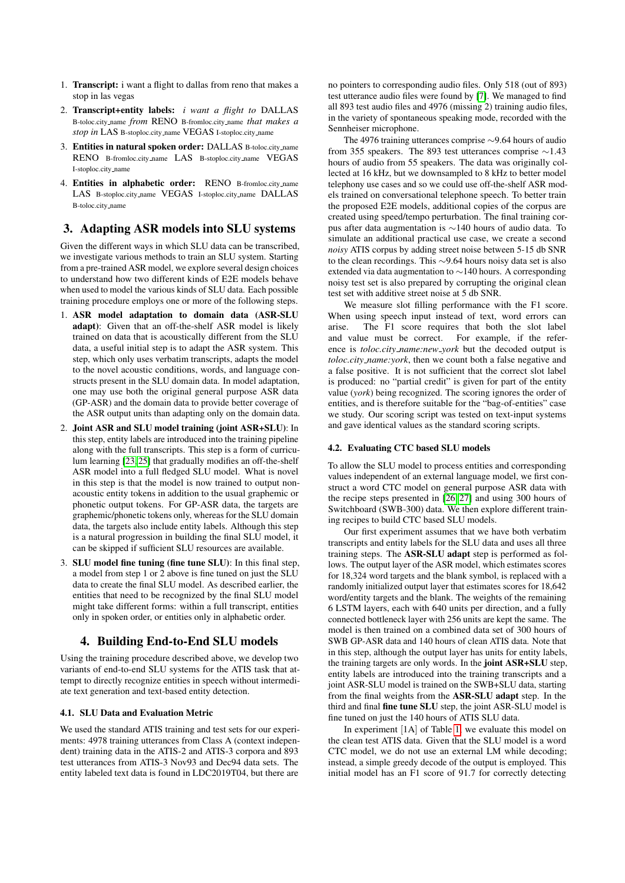- 1. Transcript: i want a flight to dallas from reno that makes a stop in las vegas
- 2. Transcript+entity labels: *i want a flight to* DALLAS B-toloc.city name *from* RENO B-fromloc.city name *that makes a stop in* LAS B-stoploc.city\_name VEGAS I-stoploc.city\_name
- 3. Entities in natural spoken order: DALLAS B-toloc.city name RENO B-fromloc.city name LAS B-stoploc.city name VEGAS I-stoploc.city name
- 4. Entities in alphabetic order: RENO B-fromloc.city name LAS B-stoploc.city name VEGAS I-stoploc.city name DALLAS B-toloc.city name

## <span id="page-1-0"></span>3. Adapting ASR models into SLU systems

Given the different ways in which SLU data can be transcribed, we investigate various methods to train an SLU system. Starting from a pre-trained ASR model, we explore several design choices to understand how two different kinds of E2E models behave when used to model the various kinds of SLU data. Each possible training procedure employs one or more of the following steps.

- 1. ASR model adaptation to domain data (ASR-SLU adapt): Given that an off-the-shelf ASR model is likely trained on data that is acoustically different from the SLU data, a useful initial step is to adapt the ASR system. This step, which only uses verbatim transcripts, adapts the model to the novel acoustic conditions, words, and language constructs present in the SLU domain data. In model adaptation, one may use both the original general purpose ASR data (GP-ASR) and the domain data to provide better coverage of the ASR output units than adapting only on the domain data.
- 2. Joint ASR and SLU model training (joint ASR+SLU): In this step, entity labels are introduced into the training pipeline along with the full transcripts. This step is a form of curriculum learning [\[23,](#page-4-11) [25\]](#page-4-12) that gradually modifies an off-the-shelf ASR model into a full fledged SLU model. What is novel in this step is that the model is now trained to output nonacoustic entity tokens in addition to the usual graphemic or phonetic output tokens. For GP-ASR data, the targets are graphemic/phonetic tokens only, whereas for the SLU domain data, the targets also include entity labels. Although this step is a natural progression in building the final SLU model, it can be skipped if sufficient SLU resources are available.
- 3. SLU model fine tuning (fine tune SLU): In this final step, a model from step 1 or 2 above is fine tuned on just the SLU data to create the final SLU model. As described earlier, the entities that need to be recognized by the final SLU model might take different forms: within a full transcript, entities only in spoken order, or entities only in alphabetic order.

## 4. Building End-to-End SLU models

Using the training procedure described above, we develop two variants of end-to-end SLU systems for the ATIS task that attempt to directly recognize entities in speech without intermediate text generation and text-based entity detection.

#### 4.1. SLU Data and Evaluation Metric

We used the standard ATIS training and test sets for our experiments: 4978 training utterances from Class A (context independent) training data in the ATIS-2 and ATIS-3 corpora and 893 test utterances from ATIS-3 Nov93 and Dec94 data sets. The entity labeled text data is found in LDC2019T04, but there are

no pointers to corresponding audio files. Only 518 (out of 893) test utterance audio files were found by [\[7\]](#page-4-5). We managed to find all 893 test audio files and 4976 (missing 2) training audio files, in the variety of spontaneous speaking mode, recorded with the Sennheiser microphone.

The 4976 training utterances comprise ∼9.64 hours of audio from 355 speakers. The 893 test utterances comprise ∼1.43 hours of audio from 55 speakers. The data was originally collected at 16 kHz, but we downsampled to 8 kHz to better model telephony use cases and so we could use off-the-shelf ASR models trained on conversational telephone speech. To better train the proposed E2E models, additional copies of the corpus are created using speed/tempo perturbation. The final training corpus after data augmentation is ∼140 hours of audio data. To simulate an additional practical use case, we create a second *noisy* ATIS corpus by adding street noise between 5-15 db SNR to the clean recordings. This ∼9.64 hours noisy data set is also extended via data augmentation to ∼140 hours. A corresponding noisy test set is also prepared by corrupting the original clean test set with additive street noise at 5 db SNR.

We measure slot filling performance with the F1 score. When using speech input instead of text, word errors can arise. The F1 score requires that both the slot label and value must be correct. For example, if the reference is *toloc.city name:new york* but the decoded output is *toloc.city name:york*, then we count both a false negative and a false positive. It is not sufficient that the correct slot label is produced: no "partial credit" is given for part of the entity value (*york*) being recognized. The scoring ignores the order of entities, and is therefore suitable for the "bag-of-entities" case we study. Our scoring script was tested on text-input systems and gave identical values as the standard scoring scripts.

#### 4.2. Evaluating CTC based SLU models

To allow the SLU model to process entities and corresponding values independent of an external language model, we first construct a word CTC model on general purpose ASR data with the recipe steps presented in [\[26,](#page-4-13) [27\]](#page-4-14) and using 300 hours of Switchboard (SWB-300) data. We then explore different training recipes to build CTC based SLU models.

Our first experiment assumes that we have both verbatim transcripts and entity labels for the SLU data and uses all three training steps. The ASR-SLU adapt step is performed as follows. The output layer of the ASR model, which estimates scores for 18,324 word targets and the blank symbol, is replaced with a randomly initialized output layer that estimates scores for 18,642 word/entity targets and the blank. The weights of the remaining 6 LSTM layers, each with 640 units per direction, and a fully connected bottleneck layer with 256 units are kept the same. The model is then trained on a combined data set of 300 hours of SWB GP-ASR data and 140 hours of clean ATIS data. Note that in this step, although the output layer has units for entity labels, the training targets are only words. In the joint ASR+SLU step, entity labels are introduced into the training transcripts and a joint ASR-SLU model is trained on the SWB+SLU data, starting from the final weights from the ASR-SLU adapt step. In the third and final fine tune SLU step, the joint ASR-SLU model is fine tuned on just the 140 hours of ATIS SLU data.

In experiment [1A] of Table [1,](#page-2-0) we evaluate this model on the clean test ATIS data. Given that the SLU model is a word CTC model, we do not use an external LM while decoding; instead, a simple greedy decode of the output is employed. This initial model has an F1 score of 91.7 for correctly detecting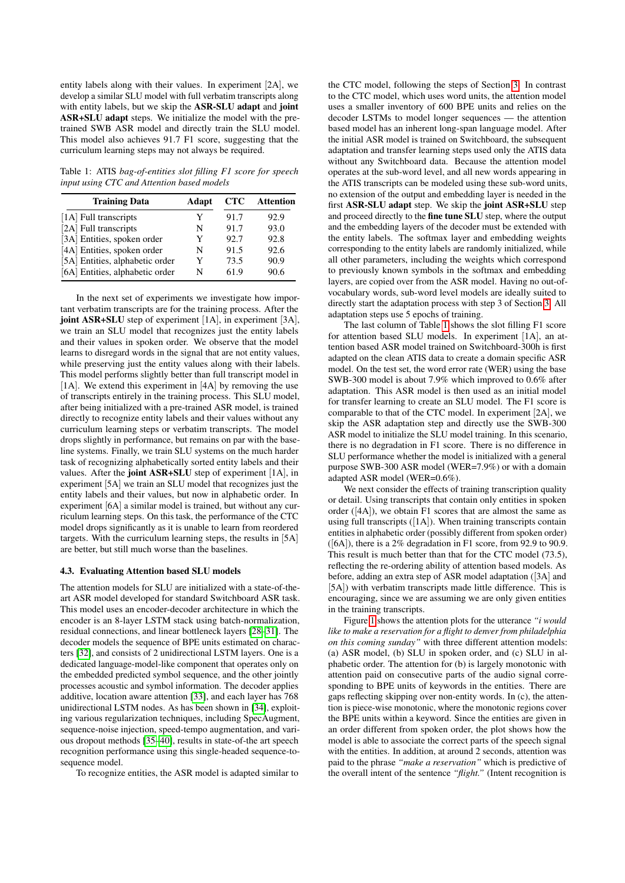entity labels along with their values. In experiment [2A], we develop a similar SLU model with full verbatim transcripts along with entity labels, but we skip the ASR-SLU adapt and joint ASR+SLU adapt steps. We initialize the model with the pretrained SWB ASR model and directly train the SLU model. This model also achieves 91.7 F1 score, suggesting that the curriculum learning steps may not always be required.

<span id="page-2-0"></span>Table 1: ATIS *bag-of-entities slot filling F1 score for speech input using CTC and Attention based models*

| <b>Training Data</b>            | Adapt | <b>CTC</b> | <b>Attention</b> |
|---------------------------------|-------|------------|------------------|
| [1A] Full transcripts           | Y     | 91.7       | 92.9             |
| [2A] Full transcripts           | N     | 91.7       | 93.0             |
| [3A] Entities, spoken order     | Y     | 92.7       | 92.8             |
| [4A] Entities, spoken order     | N     | 91.5       | 92.6             |
| [5A] Entities, alphabetic order | Y     | 73.5       | 90.9             |
| [6A] Entities, alphabetic order | N     | 61.9       | 90.6             |

In the next set of experiments we investigate how important verbatim transcripts are for the training process. After the joint ASR+SLU step of experiment [1A], in experiment [3A], we train an SLU model that recognizes just the entity labels and their values in spoken order. We observe that the model learns to disregard words in the signal that are not entity values, while preserving just the entity values along with their labels. This model performs slightly better than full transcript model in [1A]. We extend this experiment in [4A] by removing the use of transcripts entirely in the training process. This SLU model, after being initialized with a pre-trained ASR model, is trained directly to recognize entity labels and their values without any curriculum learning steps or verbatim transcripts. The model drops slightly in performance, but remains on par with the baseline systems. Finally, we train SLU systems on the much harder task of recognizing alphabetically sorted entity labels and their values. After the joint ASR+SLU step of experiment [1A], in experiment [5A] we train an SLU model that recognizes just the entity labels and their values, but now in alphabetic order. In experiment [6A] a similar model is trained, but without any curriculum learning steps. On this task, the performance of the CTC model drops significantly as it is unable to learn from reordered targets. With the curriculum learning steps, the results in [5A] are better, but still much worse than the baselines.

#### 4.3. Evaluating Attention based SLU models

The attention models for SLU are initialized with a state-of-theart ASR model developed for standard Switchboard ASR task. This model uses an encoder-decoder architecture in which the encoder is an 8-layer LSTM stack using batch-normalization, residual connections, and linear bottleneck layers [\[28](#page-4-15)[–31\]](#page-4-16). The decoder models the sequence of BPE units estimated on characters [\[32\]](#page-4-17), and consists of 2 unidirectional LSTM layers. One is a dedicated language-model-like component that operates only on the embedded predicted symbol sequence, and the other jointly processes acoustic and symbol information. The decoder applies additive, location aware attention [\[33\]](#page-4-18), and each layer has 768 unidirectional LSTM nodes. As has been shown in [\[34\]](#page-4-19), exploiting various regularization techniques, including SpecAugment, sequence-noise injection, speed-tempo augmentation, and various dropout methods [\[35](#page-4-20)[–40\]](#page-4-21), results in state-of-the art speech recognition performance using this single-headed sequence-tosequence model.

To recognize entities, the ASR model is adapted similar to

the CTC model, following the steps of Section [3.](#page-1-0) In contrast to the CTC model, which uses word units, the attention model uses a smaller inventory of 600 BPE units and relies on the decoder LSTMs to model longer sequences — the attention based model has an inherent long-span language model. After the initial ASR model is trained on Switchboard, the subsequent adaptation and transfer learning steps used only the ATIS data without any Switchboard data. Because the attention model operates at the sub-word level, and all new words appearing in the ATIS transcripts can be modeled using these sub-word units, no extension of the output and embedding layer is needed in the first ASR-SLU adapt step. We skip the joint ASR+SLU step and proceed directly to the fine tune SLU step, where the output and the embedding layers of the decoder must be extended with the entity labels. The softmax layer and embedding weights corresponding to the entity labels are randomly initialized, while all other parameters, including the weights which correspond to previously known symbols in the softmax and embedding layers, are copied over from the ASR model. Having no out-ofvocabulary words, sub-word level models are ideally suited to directly start the adaptation process with step 3 of Section [3.](#page-1-0) All adaptation steps use 5 epochs of training.

The last column of Table [1](#page-2-0) shows the slot filling F1 score for attention based SLU models. In experiment [1A], an attention based ASR model trained on Switchboard-300h is first adapted on the clean ATIS data to create a domain specific ASR model. On the test set, the word error rate (WER) using the base SWB-300 model is about 7.9% which improved to 0.6% after adaptation. This ASR model is then used as an initial model for transfer learning to create an SLU model. The F1 score is comparable to that of the CTC model. In experiment [2A], we skip the ASR adaptation step and directly use the SWB-300 ASR model to initialize the SLU model training. In this scenario, there is no degradation in F1 score. There is no difference in SLU performance whether the model is initialized with a general purpose SWB-300 ASR model (WER=7.9%) or with a domain adapted ASR model (WER=0.6%).

We next consider the effects of training transcription quality or detail. Using transcripts that contain only entities in spoken order ([4A]), we obtain F1 scores that are almost the same as using full transcripts ([1A]). When training transcripts contain entities in alphabetic order (possibly different from spoken order) ([6A]), there is a 2% degradation in F1 score, from 92.9 to 90.9. This result is much better than that for the CTC model (73.5), reflecting the re-ordering ability of attention based models. As before, adding an extra step of ASR model adaptation ([3A] and [5A]) with verbatim transcripts made little difference. This is encouraging, since we are assuming we are only given entities in the training transcripts.

Figure [1](#page-3-0) shows the attention plots for the utterance *"i would like to make a reservation for a flight to denver from philadelphia on this coming sunday"* with three different attention models: (a) ASR model, (b) SLU in spoken order, and (c) SLU in alphabetic order. The attention for (b) is largely monotonic with attention paid on consecutive parts of the audio signal corresponding to BPE units of keywords in the entities. There are gaps reflecting skipping over non-entity words. In (c), the attention is piece-wise monotonic, where the monotonic regions cover the BPE units within a keyword. Since the entities are given in an order different from spoken order, the plot shows how the model is able to associate the correct parts of the speech signal with the entities. In addition, at around 2 seconds, attention was paid to the phrase *"make a reservation"* which is predictive of the overall intent of the sentence *"flight."* (Intent recognition is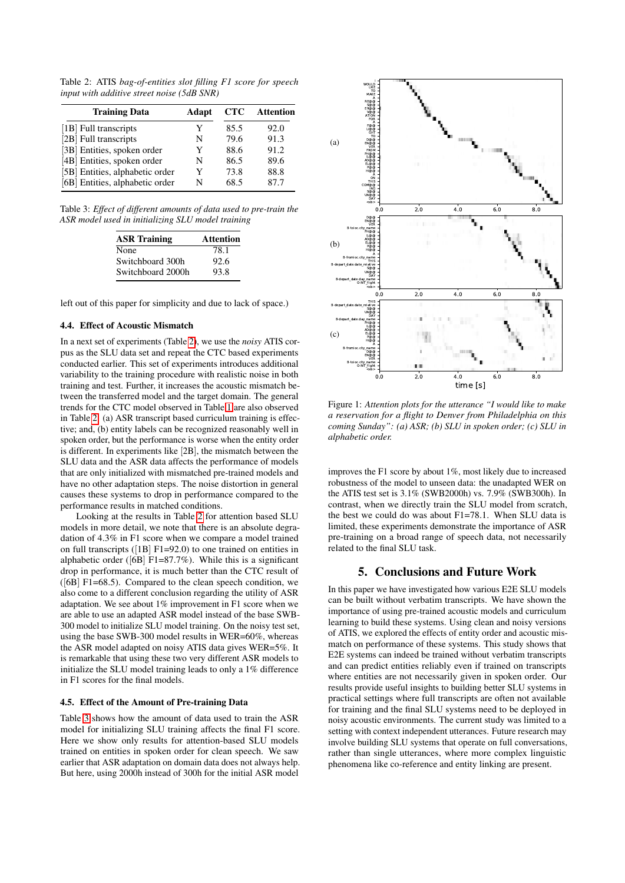<span id="page-3-1"></span>Table 2: ATIS *bag-of-entities slot filling F1 score for speech input with additive street noise (5dB SNR)*

| <b>Training Data</b>            | Adapt | <b>CTC</b> | <b>Attention</b> |
|---------------------------------|-------|------------|------------------|
| [1B] Full transcripts           | Y     | 85.5       | 92.0             |
| [2B] Full transcripts           | N     | 79.6       | 91.3             |
| [3B] Entities, spoken order     | Y     | 88.6       | 91.2             |
| [4B] Entities, spoken order     | N     | 86.5       | 89.6             |
| [5B] Entities, alphabetic order | Y     | 73.8       | 88.8             |
| [6B] Entities, alphabetic order | N     | 68.5       | 87 7             |

<span id="page-3-2"></span>Table 3: *Effect of different amounts of data used to pre-train the ASR model used in initializing SLU model training*

| <b>ASR Training</b> | <b>Attention</b> |
|---------------------|------------------|
| None                | 78.1             |
| Switchboard 300h    | 92.6             |
| Switchboard 2000h   | 93.8             |

left out of this paper for simplicity and due to lack of space.)

#### 4.4. Effect of Acoustic Mismatch

In a next set of experiments (Table [2\)](#page-3-1), we use the *noisy* ATIS corpus as the SLU data set and repeat the CTC based experiments conducted earlier. This set of experiments introduces additional variability to the training procedure with realistic noise in both training and test. Further, it increases the acoustic mismatch between the transferred model and the target domain. The general trends for the CTC model observed in Table [1](#page-2-0) are also observed in Table [2:](#page-3-1) (a) ASR transcript based curriculum training is effective; and, (b) entity labels can be recognized reasonably well in spoken order, but the performance is worse when the entity order is different. In experiments like [2B], the mismatch between the SLU data and the ASR data affects the performance of models that are only initialized with mismatched pre-trained models and have no other adaptation steps. The noise distortion in general causes these systems to drop in performance compared to the performance results in matched conditions.

Looking at the results in Table [2](#page-3-1) for attention based SLU models in more detail, we note that there is an absolute degradation of 4.3% in F1 score when we compare a model trained on full transcripts ([1B] F1=92.0) to one trained on entities in alphabetic order ( $[6B]$  F1=87.7%). While this is a significant drop in performance, it is much better than the CTC result of  $([6B] F1=68.5)$ . Compared to the clean speech condition, we also come to a different conclusion regarding the utility of ASR adaptation. We see about 1% improvement in F1 score when we are able to use an adapted ASR model instead of the base SWB-300 model to initialize SLU model training. On the noisy test set, using the base SWB-300 model results in WER=60%, whereas the ASR model adapted on noisy ATIS data gives WER=5%. It is remarkable that using these two very different ASR models to initialize the SLU model training leads to only a 1% difference in F1 scores for the final models.

#### 4.5. Effect of the Amount of Pre-training Data

Table [3](#page-3-2) shows how the amount of data used to train the ASR model for initializing SLU training affects the final F1 score. Here we show only results for attention-based SLU models trained on entities in spoken order for clean speech. We saw earlier that ASR adaptation on domain data does not always help. But here, using 2000h instead of 300h for the initial ASR model

<span id="page-3-0"></span>

Figure 1: *Attention plots for the utterance "I would like to make a reservation for a flight to Denver from Philadelphia on this coming Sunday": (a) ASR; (b) SLU in spoken order; (c) SLU in alphabetic order.*

improves the F1 score by about 1%, most likely due to increased robustness of the model to unseen data: the unadapted WER on the ATIS test set is 3.1% (SWB2000h) vs. 7.9% (SWB300h). In contrast, when we directly train the SLU model from scratch, the best we could do was about F1=78.1. When SLU data is limited, these experiments demonstrate the importance of ASR pre-training on a broad range of speech data, not necessarily related to the final SLU task.

### 5. Conclusions and Future Work

In this paper we have investigated how various E2E SLU models can be built without verbatim transcripts. We have shown the importance of using pre-trained acoustic models and curriculum learning to build these systems. Using clean and noisy versions of ATIS, we explored the effects of entity order and acoustic mismatch on performance of these systems. This study shows that E2E systems can indeed be trained without verbatim transcripts and can predict entities reliably even if trained on transcripts where entities are not necessarily given in spoken order. Our results provide useful insights to building better SLU systems in practical settings where full transcripts are often not available for training and the final SLU systems need to be deployed in noisy acoustic environments. The current study was limited to a setting with context independent utterances. Future research may involve building SLU systems that operate on full conversations, rather than single utterances, where more complex linguistic phenomena like co-reference and entity linking are present.